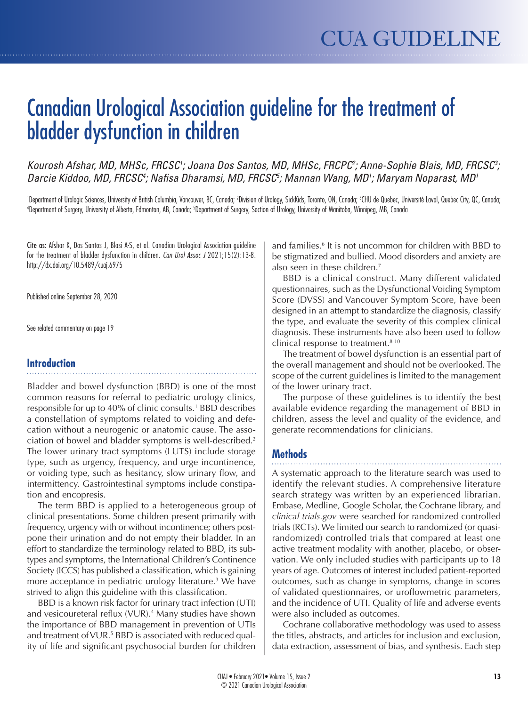# Canadian Urological Association guideline for the treatment of bladder dysfunction in children

*Kourosh Afshar, MD, MHSc, FRCSC1 ; Joana Dos Santos, MD, MHSc, FRCPC2 ; Anne-Sophie Blais, MD, FRCSC3 ; Darcie Kiddoo, MD, FRCSC4 ; Nafisa Dharamsi, MD, FRCSC5 ; Mannan Wang, MD1 ; Maryam Noparast, MD1*

'Department of Urologic Sciences, University of British Columbia, Vancouver, BC, Canada; <sup>2</sup>Division of Urology, SickKids, Toronto, ON, Canada; <sup>3</sup>CHU de Quebec, Université Laval, Quebec City, QC, Canada;<br>"Department of Su Department of Surgery, University of Alberta, Edmonton, AB, Canada; <sup>s</sup>Department of Surgery, Section of Urology, University of Manitoba, Winnipeg, MB, Canada

Cite as: Afshar K, Dos Santos J, Blasi A-S, et al. Canadian Urological Association guideline for the treatment of bladder dysfunction in children. *Can Urol Assoc J* 2021;15(2):13-8. http://dx.doi.org/10.5489/cuaj.6975

Published online September 28, 2020

See related commentary on page 19

### **Introduction**

Bladder and bowel dysfunction (BBD) is one of the most common reasons for referral to pediatric urology clinics, responsible for up to 40% of clinic consults.1 BBD describes a constellation of symptoms related to voiding and defecation without a neurogenic or anatomic cause. The association of bowel and bladder symptoms is well-described.2 The lower urinary tract symptoms (LUTS) include storage type, such as urgency, frequency, and urge incontinence, or voiding type, such as hesitancy, slow urinary flow, and intermittency. Gastrointestinal symptoms include constipation and encopresis.

The term BBD is applied to a heterogeneous group of clinical presentations. Some children present primarily with frequency, urgency with or without incontinence; others postpone their urination and do not empty their bladder. In an effort to standardize the terminology related to BBD, its subtypes and symptoms, the International Children's Continence Society (ICCS) has published a classification, which is gaining more acceptance in pediatric urology literature.<sup>3</sup> We have strived to align this guideline with this classification.

BBD is a known risk factor for urinary tract infection (UTI) and vesicoureteral reflux (VUR).4 Many studies have shown the importance of BBD management in prevention of UTIs and treatment of VUR.<sup>5</sup> BBD is associated with reduced quality of life and significant psychosocial burden for children

and families.6 It is not uncommon for children with BBD to be stigmatized and bullied. Mood disorders and anxiety are also seen in these children.<sup>7</sup>

BBD is a clinical construct. Many different validated questionnaires, such as the Dysfunctional Voiding Symptom Score (DVSS) and Vancouver Symptom Score, have been designed in an attempt to standardize the diagnosis, classify the type, and evaluate the severity of this complex clinical diagnosis. These instruments have also been used to follow clinical response to treatment.<sup>8-10</sup>

The treatment of bowel dysfunction is an essential part of the overall management and should not be overlooked. The scope of the current guidelines is limited to the management of the lower urinary tract.

The purpose of these guidelines is to identify the best available evidence regarding the management of BBD in children, assess the level and quality of the evidence, and generate recommendations for clinicians.

### **Methods**

A systematic approach to the literature search was used to identify the relevant studies. A comprehensive literature search strategy was written by an experienced librarian. Embase, Medline, Google Scholar, the Cochrane library, and *clinical trials.gov* were searched for randomized controlled trials (RCTs). We limited our search to randomized (or quasirandomized) controlled trials that compared at least one active treatment modality with another, placebo, or observation. We only included studies with participants up to 18 years of age. Outcomes of interest included patient-reported outcomes, such as change in symptoms, change in scores of validated questionnaires, or uroflowmetric parameters, and the incidence of UTI. Quality of life and adverse events were also included as outcomes.

Cochrane collaborative methodology was used to assess the titles, abstracts, and articles for inclusion and exclusion, data extraction, assessment of bias, and synthesis. Each step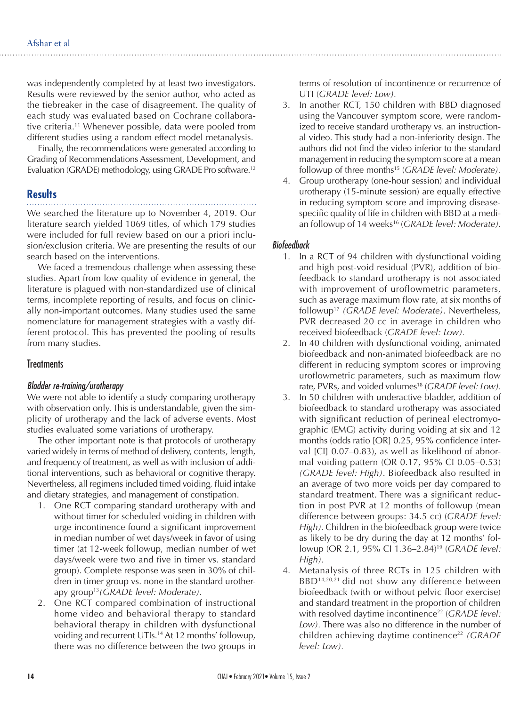was independently completed by at least two investigators. Results were reviewed by the senior author, who acted as the tiebreaker in the case of disagreement. The quality of each study was evaluated based on Cochrane collaborative criteria.11 Whenever possible, data were pooled from different studies using a random effect model metanalysis.

Finally, the recommendations were generated according to Grading of Recommendations Assessment, Development, and Evaluation (GRADE) methodology, using GRADE Pro software. 12

## **Results**

We searched the literature up to November 4, 2019. Our literature search yielded 1069 titles, of which 179 studies were included for full review based on our a priori inclusion/exclusion criteria. We are presenting the results of our search based on the interventions.

We faced a tremendous challenge when assessing these studies. Apart from low quality of evidence in general, the literature is plagued with non-standardized use of clinical terms, incomplete reporting of results, and focus on clinically non-important outcomes. Many studies used the same nomenclature for management strategies with a vastly different protocol. This has prevented the pooling of results from many studies.

### **Treatments**

#### *Bladder re-training/urotherapy*

We were not able to identify a study comparing urotherapy with observation only. This is understandable, given the simplicity of urotherapy and the lack of adverse events. Most studies evaluated some variations of urotherapy.

The other important note is that protocols of urotherapy varied widely in terms of method of delivery, contents, length, and frequency of treatment, as well as with inclusion of additional interventions, such as behavioral or cognitive therapy. Nevertheless, all regimens included timed voiding, fluid intake and dietary strategies, and management of constipation.

- 1. One RCT comparing standard urotherapy with and without timer for scheduled voiding in children with urge incontinence found a significant improvement in median number of wet days/week in favor of using timer (at 12-week followup, median number of wet days/week were two and five in timer vs. standard group). Complete response was seen in 30% of children in timer group vs. none in the standard urotherapy group13*(GRADE level: Moderate).*
- 2. One RCT compared combination of instructional home video and behavioral therapy to standard behavioral therapy in children with dysfunctional voiding and recurrent UTIs.<sup>14</sup> At 12 months' followup, there was no difference between the two groups in

terms of resolution of incontinence or recurrence of UTI (*GRADE level: Low).* 

- 3. In another RCT, 150 children with BBD diagnosed using the Vancouver symptom score, were randomized to receive standard urotherapy vs. an instructional video. This study had a non-inferiority design. The authors did not find the video inferior to the standard management in reducing the symptom score at a mean followup of three months<sup>15</sup> (*GRADE level: Moderate*).
- 4. Group urotherapy (one-hour session) and individual urotherapy (15-minute session) are equally effective in reducing symptom score and improving diseasespecific quality of life in children with BBD at a median followup of 14 weeks<sup>16</sup> (*GRADE level: Moderate*).

#### *Biofeedback*

- 1. In a RCT of 94 children with dysfunctional voiding and high post-void residual (PVR), addition of biofeedback to standard urotherapy is not associated with improvement of uroflowmetric parameters, such as average maximum flow rate, at six months of followup17 *(GRADE level: Moderate)*. Nevertheless, PVR decreased 20 cc in average in children who received biofeedback (*GRADE level: Low).*
- 2. In 40 children with dysfunctional voiding, animated biofeedback and non-animated biofeedback are no different in reducing symptom scores or improving uroflowmetric parameters, such as maximum flow rate, PVRs, and voided volumes<sup>18</sup> (*GRADE level: Low*).
- 3. In 50 children with underactive bladder, addition of biofeedback to standard urotherapy was associated with significant reduction of perineal electromyographic (EMG) activity during voiding at six and 12 months (odds ratio [OR] 0.25, 95% confidence interval [CI] 0.07–0.83), as well as likelihood of abnormal voiding pattern (OR 0.17, 95% CI 0.05–0.53) *(GRADE level: High)*. Biofeedback also resulted in an average of two more voids per day compared to standard treatment. There was a significant reduction in post PVR at 12 months of followup (mean difference between groups: 34.5 cc) (*GRADE level: High).* Children in the biofeedback group were twice as likely to be dry during the day at 12 months' followup (OR 2.1, 95% CI 1.36–2.84)19 (*GRADE level: High).*
- 4. Metanalysis of three RCTs in 125 children with BBD<sup>14,20,21</sup> did not show any difference between biofeedback (with or without pelvic floor exercise) and standard treatment in the proportion of children with resolved daytime incontinence<sup>22</sup> (*GRADE level: Low).* There was also no difference in the number of children achieving daytime continence<sup>22</sup> *(GRADE*) *level: Low).*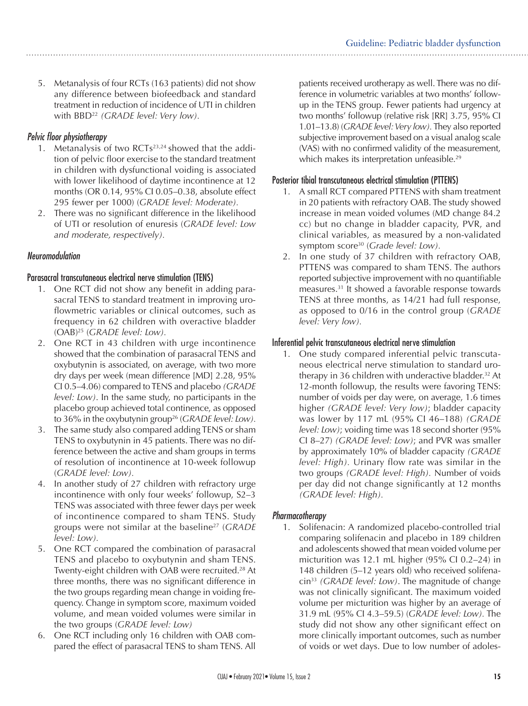5. Metanalysis of four RCTs (163 patients) did not show any difference between biofeedback and standard treatment in reduction of incidence of UTI in children with BBD22 *(GRADE level: Very low).*

#### *Pelvic floor physiotherapy*

- 1. Metanalysis of two  $RCTs<sup>23,24</sup>$  showed that the addition of pelvic floor exercise to the standard treatment in children with dysfunctional voiding is associated with lower likelihood of daytime incontinence at 12 months (OR 0.14, 95% CI 0.05–0.38, absolute effect 295 fewer per 1000) (*GRADE level: Moderate).*
- 2. There was no significant difference in the likelihood of UTI or resolution of enuresis (*GRADE level: Low and moderate, respectively).*

#### *Neuromodulation*

#### Parasacral transcutaneous electrical nerve stimulation (TENS)

- 1. One RCT did not show any benefit in adding parasacral TENS to standard treatment in improving uroflowmetric variables or clinical outcomes, such as frequency in 62 children with overactive bladder (OAB)25 (*GRADE level: Low).*
- 2. One RCT in 43 children with urge incontinence showed that the combination of parasacral TENS and oxybutynin is associated, on average, with two more dry days per week (mean difference [MD] 2.28, 95% CI 0.5–4.06) compared to TENS and placebo *(GRADE level: Low)*. In the same study, no participants in the placebo group achieved total continence, as opposed to 36% in the oxybutynin group<sup>26</sup> (*GRADE level: Low*).
- 3. The same study also compared adding TENS or sham TENS to oxybutynin in 45 patients. There was no difference between the active and sham groups in terms of resolution of incontinence at 10-week followup (*GRADE level: Low).*
- 4. In another study of 27 children with refractory urge incontinence with only four weeks' followup, S2–3 TENS was associated with three fewer days per week of incontinence compared to sham TENS. Study groups were not similar at the baseline27 (*GRADE level: Low).*
- 5. One RCT compared the combination of parasacral TENS and placebo to oxybutynin and sham TENS. Twenty-eight children with OAB were recruited.28 At three months, there was no significant difference in the two groups regarding mean change in voiding frequency. Change in symptom score, maximum voided volume, and mean voided volumes were similar in the two groups (*GRADE level: Low)*
- 6. One RCT including only 16 children with OAB compared the effect of parasacral TENS to sham TENS. All

patients received urotherapy as well. There was no difference in volumetric variables at two months' followup in the TENS group. Fewer patients had urgency at two months' followup (relative risk [RR] 3.75, 95% CI 1.01–13.8) (*GRADE level: Very low).* They also reported subjective improvement based on a visual analog scale (VAS) with no confirmed validity of the measurement, which makes its interpretation unfeasible.<sup>29</sup>

#### Posterior tibial transcutaneous electrical stimulation (PTTENS)

- 1. A small RCT compared PTTENS with sham treatment in 20 patients with refractory OAB. The study showed increase in mean voided volumes (MD change 84.2 cc) but no change in bladder capacity, PVR, and clinical variables, as measured by a non-validated symptom score30 (*Grade level: Low).*
- 2. In one study of 37 children with refractory OAB, PTTENS was compared to sham TENS. The authors reported subjective improvement with no quantifiable measures.31 It showed a favorable response towards TENS at three months, as 14/21 had full response, as opposed to 0/16 in the control group (*GRADE level: Very low).*

### Inferential pelvic transcutaneous electrical nerve stimulation

1. One study compared inferential pelvic transcutaneous electrical nerve stimulation to standard urotherapy in 36 children with underactive bladder.<sup>32</sup> At 12-month followup, the results were favoring TENS: number of voids per day were, on average, 1.6 times higher *(GRADE level: Very low)*; bladder capacity was lower by 117 mL (95% CI 46–188) *(GRADE level: Low)*; voiding time was 18 second shorter (95% CI 8–27) *(GRADE level: Low)*; and PVR was smaller by approximately 10% of bladder capacity *(GRADE level: High).* Urinary flow rate was similar in the two groups *(GRADE level: High).* Number of voids per day did not change significantly at 12 months *(GRADE level: High).*

#### *Pharmacotherapy*

1. Solifenacin: A randomized placebo-controlled trial comparing solifenacin and placebo in 189 children and adolescents showed that mean voided volume per micturition was 12.1 mL higher (95% CI 0.2–24) in 148 children (5–12 years old) who received solifenacin33 *(GRADE level: Low)*. The magnitude of change was not clinically significant. The maximum voided volume per micturition was higher by an average of 31.9 mL (95% CI 4.3–59.5) (*GRADE level: Low).* The study did not show any other significant effect on more clinically important outcomes, such as number of voids or wet days. Due to low number of adoles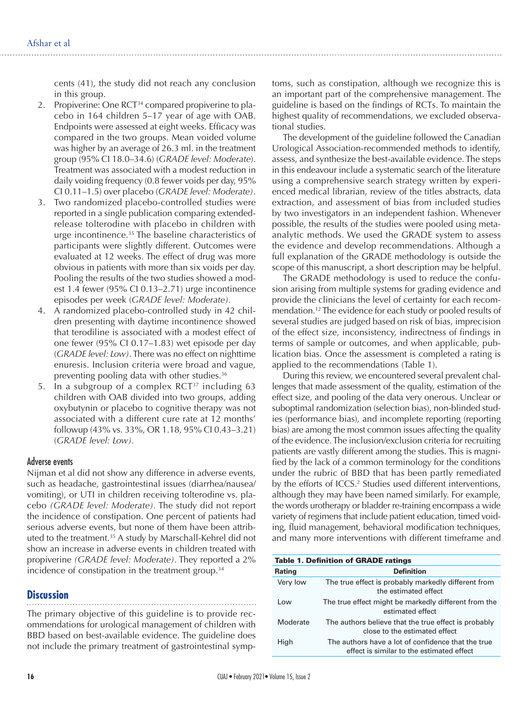cents (41), the study did not reach any conclusion in this group.

- 2. Propiverine: One RCT<sup>34</sup> compared propiverine to placebo in 164 children 5–17 year of age with OAB. Endpoints were assessed at eight weeks. Efficacy was compared in the two groups. Mean voided volume was higher by an average of 26.3 ml. in the treatment group (95% CI 18.0–34.6) (*GRADE level: Moderate*). Treatment was associated with a modest reduction in daily voiding frequency (0.8 fewer voids per day, 95% CI 0.11–1.5) over placebo (*GRADE level: Moderate)*.
- 3. Two randomized placebo-controlled studies were reported in a single publication comparing extendedrelease tolterodine with placebo in children with urge incontinence.<sup>35</sup> The baseline characteristics of participants were slightly different. Outcomes were evaluated at 12 weeks. The effect of drug was more obvious in patients with more than six voids per day. Pooling the results of the two studies showed a modest 1.4 fewer (95% CI 0.13–2.71) urge incontinence episodes per week (*GRADE level: Moderate).*
- 4. A randomized placebo-controlled study in 42 children presenting with daytime incontinence showed that terodiline is associated with a modest effect of one fewer (95% CI 0.17–1.83) wet episode per day (*GRADE level: Low)*. There was no effect on nighttime enuresis. Inclusion criteria were broad and vague, preventing pooling data with other studies.<sup>36</sup>
- 5. In a subgroup of a complex  $RCT^{37}$  including 63 children with OAB divided into two groups, adding oxybutynin or placebo to cognitive therapy was not associated with a different cure rate at 12 months' followup (43% vs. 33%, OR 1.18, 95% CI 0.43–3.21) (*GRADE level: Low).*

#### Adverse events

Nijman et al did not show any difference in adverse events, such as headache, gastrointestinal issues (diarrhea/nausea/ vomiting), or UTI in children receiving tolterodine vs. placebo *(GRADE level: Moderate).* The study did not report the incidence of constipation. One percent of patients had serious adverse events, but none of them have been attributed to the treatment.35 A study by Marschall-Kehrel did not show an increase in adverse events in children treated with propiverine *(GRADE level: Moderate)*. They reported a 2% incidence of constipation in the treatment group.34

#### **Discussion**

The primary objective of this guideline is to provide recommendations for urological management of children with BBD based on best-available evidence. The guideline does not include the primary treatment of gastrointestinal symptoms, such as constipation, although we recognize this is an important part of the comprehensive management. The guideline is based on the findings of RCTs. To maintain the highest quality of recommendations, we excluded observational studies.

The development of the guideline followed the Canadian Urological Association-recommended methods to identify, assess, and synthesize the best-available evidence. The steps in this endeavour include a systematic search of the literature using a comprehensive search strategy written by experienced medical librarian, review of the titles abstracts, data extraction, and assessment of bias from included studies by two investigators in an independent fashion. Whenever possible, the results of the studies were pooled using metaanalytic methods. We used the GRADE system to assess the evidence and develop recommendations. Although a full explanation of the GRADE methodology is outside the scope of this manuscript, a short description may be helpful.

The GRADE methodology is used to reduce the confusion arising from multiple systems for grading evidence and provide the clinicians the level of certainty for each recommendation.<sup>12</sup> The evidence for each study or pooled results of several studies are judged based on risk of bias, imprecision of the effect size, inconsistency, indirectness of findings in terms of sample or outcomes, and when applicable, publication bias. Once the assessment is completed a rating is applied to the recommendations (Table 1).

During this review, we encountered several prevalent challenges that made assessment of the quality, estimation of the effect size, and pooling of the data very onerous. Unclear or suboptimal randomization (selection bias), non-blinded studies (performance bias), and incomplete reporting (reporting bias) are among the most common issues affecting the quality of the evidence. The inclusion/exclusion criteria for recruiting patients are vastly different among the studies. This is magnified by the lack of a common terminology for the conditions under the rubric of BBD that has been partly remediated by the efforts of ICCS.<sup>2</sup> Studies used different interventions, although they may have been named similarly. For example, the words urotherapy or bladder re-training encompass a wide variety of regimens that include patient education, timed voiding, fluid management, behavioral modification techniques, and many more interventions with different timeframe and

| <b>Table 1. Definition of GRADE ratings</b> |                                                                                                 |
|---------------------------------------------|-------------------------------------------------------------------------------------------------|
| <b>Rating</b>                               | <b>Definition</b>                                                                               |
| Very low                                    | The true effect is probably markedly different from<br>the estimated effect                     |
| l ow                                        | The true effect might be markedly different from the<br>estimated effect                        |
| Moderate                                    | The authors believe that the true effect is probably<br>close to the estimated effect           |
| High                                        | The authors have a lot of confidence that the true<br>effect is similar to the estimated effect |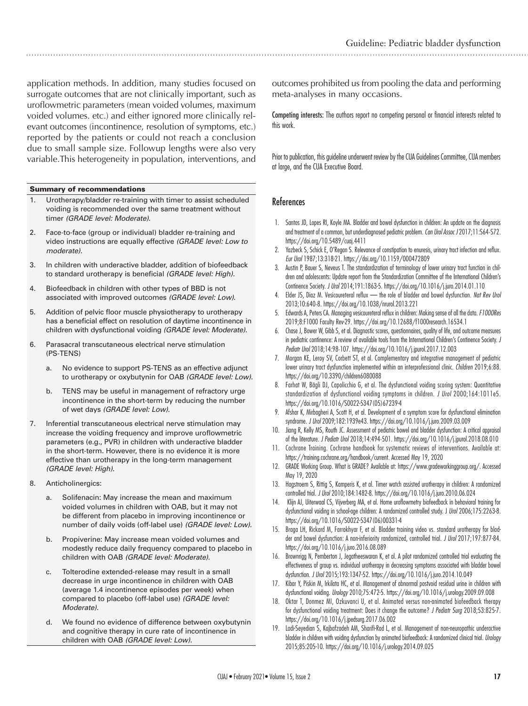application methods. In addition, many studies focused on surrogate outcomes that are not clinically important, such as uroflowmetric parameters (mean voided volumes, maximum voided volumes. etc.) and either ignored more clinically relevant outcomes (incontinence, resolution of symptoms, etc.) reported by the patients or could not reach a conclusion due to small sample size. Followup lengths were also very variable.This heterogeneity in population, interventions, and

#### Summary of recommendations

- 1. Urotherapy/bladder re-training with timer to assist scheduled voiding is recommended over the same treatment without timer *(GRADE level: Moderate)*.
- 2. Face-to-face (group or individual) bladder re-training and video instructions are equally effective *(GRADE level: Low to moderate).*
- 3. In children with underactive bladder, addition of biofeedback to standard urotherapy is beneficial *(GRADE level: High).*
- 4. Biofeedback in children with other types of BBD is not associated with improved outcomes *(GRADE level: Low)*.
- 5. Addition of pelvic floor muscle physiotherapy to urotherapy has a beneficial effect on resolution of daytime incontinence in children with dysfunctional voiding *(GRADE level: Moderate).*
- 6. Parasacral transcutaneous electrical nerve stimulation (PS-TENS)
	- a. No evidence to support PS-TENS as an effective adjunct to urotherapy or oxybutynin for OAB *(GRADE level: Low).*
	- b. TENS may be useful in management of refractory urge incontinence in the short-term by reducing the number of wet days *(GRADE level: Low).*
- 7. Inferential transcutaneous electrical nerve stimulation may increase the voiding frequency and improve uroflowmetric parameters (e.g., PVR) in children with underactive bladder in the short-term. However, there is no evidence it is more effective than urotherapy in the long-term management *(GRADE level: High).*
- 8. Anticholinergics:
	- a. Solifenacin: May increase the mean and maximum voided volumes in children with OAB, but it may not be different from placebo in improving incontinence or number of daily voids (off-label use) *(GRADE level: Low)*.
	- b. Propiverine: May increase mean voided volumes and modestly reduce daily frequency compared to placebo in children with OAB *(GRADE level: Moderate).*
	- c. Tolterodine extended-release may result in a small decrease in urge incontinence in children with OAB (average 1.4 incontinence episodes per week) when compared to placebo (off-label use) *(GRADE level: Moderate).*
	- d. We found no evidence of difference between oxybutynin and cognitive therapy in cure rate of incontinence in children with OAB *(GRADE level: Low).*

outcomes prohibited us from pooling the data and performing meta-analyses in many occasions.

Competing interests: The authors report no competing personal or financial interests related to this work.

Prior to publication, this guideline underwent review by the CUA Guidelines Committee, CUA members at large, and the CUA Executive Board.

#### References

- 1. Santos JD, Lopes RI, Koyle MA. Bladder and bowel dysfunction in children: An update on the diagnosis and treatment of a common, but underdiagnosed pediatric problem. *Can Urol Assoc J* 2017;11:S64‐S72. https://doi.org/10.5489/cuaj.4411
- 2. Yazbeck S, Schick E, O'Regan S. Relevance of constipation to enuresis, urinary tract infection and reflux. *Eur Urol* 1987;13:318-21. https://doi.org/10.1159/000472809
- Austin P, Bauer S, Neveus T. The standardization of terminology of lower urinary tract function in children and adolescents: Update report from the Standardization Committee of the International Children's Continence Society. *J Urol* 2014;191:1863-5. https://doi.org/10.1016/j.juro.2014.01.110
- 4. Elder JS, Diaz M. Vesicoureteral reflux the role of bladder and bowel dysfunction. *Nat Rev Urol* 2013;10:640‐8. https://doi.org/10.1038/nrurol.2013.221
- 5. Edwards A, Peters CA. Managing vesicoureteral reflux in children: Making sense of all the data. *F1000Res* 2019;8:F1000 Faculty Rev-29. https://doi.org/10.12688/f1000research.16534.1
- 6. Chase J, Bower W, Gibb S, et al. Diagnostic scores, questionnaires, quality of life, and outcome measures in pediatric continence: A review of available tools from the International Children's Continence Society. *J Pediatr Urol* 2018;14:98‐107. https://doi.org/10.1016/j.jpurol.2017.12.003
- 7. Morgan KE, Leroy SV, Corbett ST, et al. Complementary and integrative management of pediatric lower urinary tract dysfunction implemented within an interprofessional clinic. *Children* 2019;6:88. https://doi.org/10.3390/children6080088
- 8. Farhat W, Bägli DJ, Capolicchio G, et al. The dysfunctional voiding scoring system: Quantitative standardization of dysfunctional voiding symptoms in children. *J Urol* 2000;164:1011e5. https://doi.org/10.1016/S0022-5347(05)67239-4
- 9. Afshar K, Mirbagheri A, Scott H, et al. Development of a symptom score for dysfunctional elimination syndrome. *J Urol* 2009;182:1939e43. https://doi.org/10.1016/j.juro.2009.03.009
- 10. Jiang R, Kelly MS, Routh JC. Assessment of pediatric bowel and bladder dysfunction: A critical appraisal of the literature. *J Pediatr Urol* 2018;14:494‐501. https://doi.org/10.1016/j.jpurol.2018.08.010
- 11. Cochrane Training. Cochrane handbook for systematic reviews of interventions. Available at: https://training.cochrane.org/handbook/current. Accessed May 19, 2020
- 12. GRADE Working Group. What is GRADE? Available at: https://www.gradeworkinggroup.org/. Accessed May 19, 2020
- 13. Hagstroem S, Rittig S, Kamperis K, et al. Timer watch assisted urotherapy in children: A randomized controlled trial. *J Urol* 2010;184:1482-8. https://doi.org/10.1016/j.juro.2010.06.024
- 14. Klijn AJ, Uiterwaal CS, Vijverberg MA, et al. Home uroflowmetry biofeedback in behavioral training for dysfunctional voiding in school-age children: A randomized controlled study. J *Urol* 2006;175:2263-8. https://doi.org/10.1016/S0022-5347(06)00331-4
- 15. Braga LH, Rickard M, Farrokhyar F, et al. Bladder training video vs. standard urotherapy for bladder and bowel dysfunction: A non-inferiority randomized, controlled trial. *J Urol* 2017;197:877-84. https://doi.org/10.1016/j.juro.2016.08.089
- 16. Brownrigg N, Pemberton J, Jegatheeswaran K, et al. A pilot randomized controlled trial evaluating the effectiveness of group vs. individual urotherapy in decreasing symptoms associated with bladder bowel dysfunction. *J Urol* 2015;193:1347-52. https://doi.org/10.1016/j.juro.2014.10.049
- 17. Kibar Y, Piskin M, Irkilata HC, et al. Management of abnormal postvoid residual urine in children with dysfunctional voiding. *Urology* 2010;75:472-5. https://doi.org/10.1016/j.urology.2009.09.008
- 18. Oktar T, Donmez MI, Ozkuvanci U, et al. Animated versus non-animated biofeedback therapy for dysfunctional voiding treatment: Does it change the outcome? *J Pediatr Surg* 2018;53:825-7. https://doi.org/10.1016/j.jpedsurg.2017.06.002
- 19. Ladi-Seyedian S, Kajbafzadeh AM, Sharifi-Rad L, et al. Management of non-neuropathic underactive bladder in children with voiding dysfunction by animated biofeedback: A randomized clinical trial. *Urology* 2015;85:205-10. https://doi.org/10.1016/j.urology.2014.09.025